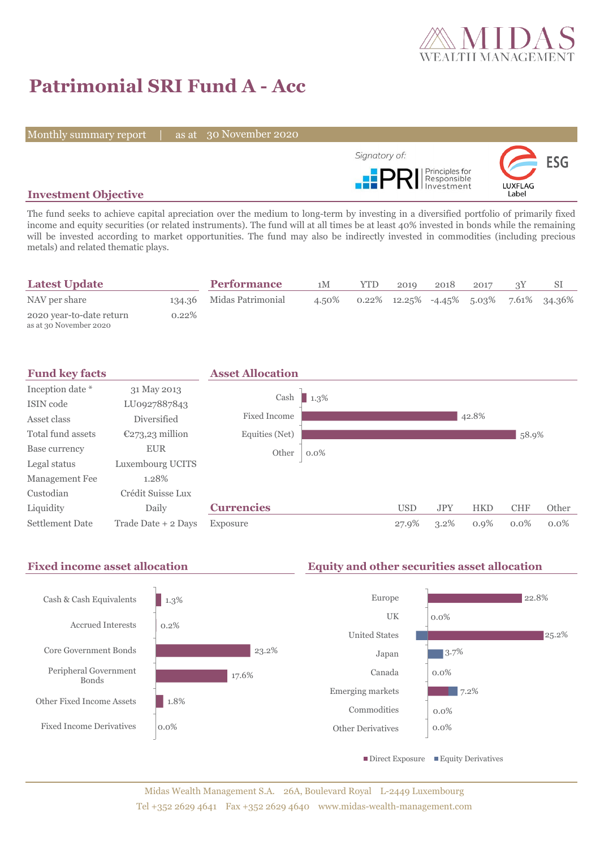

# **Patrimonial SRI Fund A - Acc**

Monthly summary report | as at 30 November 2020



## **Investment Objective**

The fund seeks to achieve capital apreciation over the medium to long-term by investing in a diversified portfolio of primarily fixed income and equity securities (or related instruments). The fund will at all times be at least 40% invested in bonds while the remaining will be invested according to market opportunities. The fund may also be indirectly invested in commodities (including precious metals) and related thematic plays.

| <b>Latest Update</b>                               |          | <b>Performance</b>       | 1M    | YTD. | 2019 | 2018 | 2017 |                                           |
|----------------------------------------------------|----------|--------------------------|-------|------|------|------|------|-------------------------------------------|
| NAV per share                                      |          | 134.36 Midas Patrimonial | 4.50% |      |      |      |      | $0.22\%$ 12.25% -4.45% 5.03% 7.61% 34.36% |
| 2020 year-to-date return<br>as at 30 November 2020 | $0.22\%$ |                          |       |      |      |      |      |                                           |



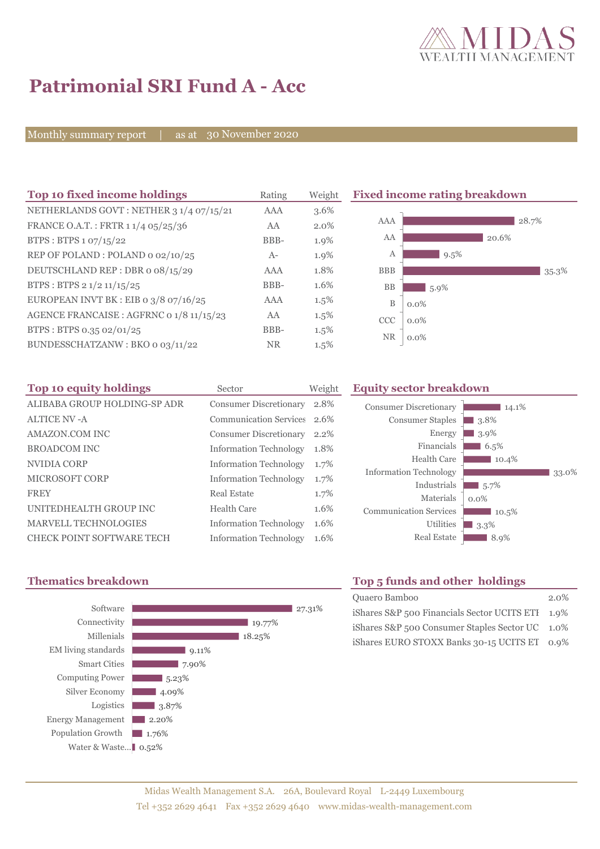

# **Patrimonial SRI Fund A - Acc**

Monthly summary report | as at 30 November 2020

| Top 10 fixed income holdings             | Rating    | Weight  |                  | <b>Fixed income rating breakdown</b> |       |       |
|------------------------------------------|-----------|---------|------------------|--------------------------------------|-------|-------|
| NETHERLANDS GOVT: NETHER 3 1/4 07/15/21  | AAA       | 3.6%    |                  |                                      |       |       |
| FRANCE O.A.T.: FRTR 1 1/4 05/25/36       | AA        | $2.0\%$ | AAA              |                                      |       | 28.7% |
| BTPS: BTPS 1 07/15/22                    | BBB-      | 1.9%    | AA               |                                      | 20.6% |       |
| REP OF POLAND: POLAND 0 02/10/25         | $A-$      | 1.9%    | A                | $9.5\%$                              |       |       |
| DEUTSCHLAND REP: DBR o 08/15/29          | AAA       | 1.8%    | <b>BBB</b>       |                                      |       | 35.3% |
| BTPS: BTPS 2 1/2 11/15/25                | BBB-      | 1.6%    | <b>BB</b>        | $5.9\%$                              |       |       |
| EUROPEAN INVT BK : EIB o $3/8$ 07/16/25  | AAA       | $1.5\%$ | $\boldsymbol{B}$ | $0.0\%$                              |       |       |
| AGENCE FRANCAISE : AGFRNC 0 1/8 11/15/23 | AA        | $1.5\%$ | CCC              | $0.0\%$                              |       |       |
| BTPS: BTPS 0.35 02/01/25                 | BBB-      | $1.5\%$ |                  |                                      |       |       |
| BUNDESSCHATZANW: BKO 0 03/11/22          | <b>NR</b> | $1.5\%$ | <b>NR</b>        | $0.0\%$                              |       |       |

| Top 10 equity holdings       | Sector                        | Weight |
|------------------------------|-------------------------------|--------|
| ALIBABA GROUP HOLDING-SP ADR | <b>Consumer Discretionary</b> | 2.8%   |
| <b>ALTICE NV -A</b>          | <b>Communication Services</b> | 2.6%   |
| AMAZON.COM INC               | <b>Consumer Discretionary</b> | 2.2%   |
| <b>BROADCOM INC</b>          | <b>Information Technology</b> | 1.8%   |
| NVIDIA CORP                  | <b>Information Technology</b> | 1.7%   |
| MICROSOFT CORP               | <b>Information Technology</b> | 1.7%   |
| <b>FREY</b>                  | Real Estate                   | 1.7%   |
| UNITEDHEALTH GROUP INC       | Health Care                   | 1.6%   |
| MARVELL TECHNOLOGIES         | <b>Information Technology</b> | 1.6%   |
| CHECK POINT SOFTWARE TECH    | <b>Information Technology</b> | 1.6%   |

### **Equity sector breakdown**





# **Thematics breakdown Top 5 funds and other holdings**

| Quaero Bamboo                                    | $2.0\%$ |
|--------------------------------------------------|---------|
| iShares S&P 500 Financials Sector UCITS ETI 1.9% |         |
| iShares S&P 500 Consumer Staples Sector UC 1.0%  |         |
| iShares EURO STOXX Banks 30-15 UCITS ET 0.9%     |         |